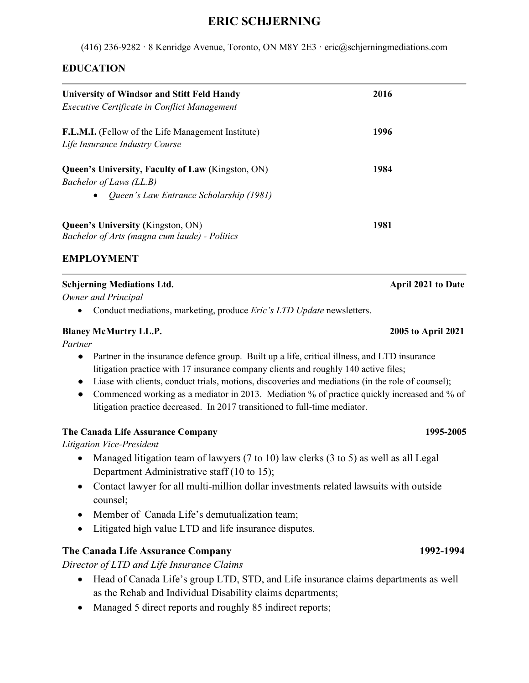# **ERIC SCHJERNING**

(416) 236-9282 · 8 Kenridge Avenue, Toronto, ON M8Y 2E3 · eric@schjerningmediations.com

# **EDUCATION**

| <b>University of Windsor and Stitt Feld Handy</b><br>Executive Certificate in Conflict Management                                           | 2016 |
|---------------------------------------------------------------------------------------------------------------------------------------------|------|
| F.L.M.I. (Fellow of the Life Management Institute)<br>Life Insurance Industry Course                                                        | 1996 |
| <b>Queen's University, Faculty of Law (Kingston, ON)</b><br>Bachelor of Laws (LL.B)<br>Queen's Law Entrance Scholarship (1981)<br>$\bullet$ | 1984 |
| <b>Queen's University (Kingston, ON)</b><br>Bachelor of Arts (magna cum laude) - Politics                                                   | 1981 |

## **EMPLOYMENT**

### **Schjerning Mediations Ltd. April 2021 to Date**

*Owner and Principal* 

• Conduct mediations, marketing, produce *Eric's LTD Update* newsletters.

### **Blaney McMurtry LL.P. 2005 to April 2021**

*Partner*

- Partner in the insurance defence group. Built up a life, critical illness, and LTD insurance litigation practice with 17 insurance company clients and roughly 140 active files;
- Liase with clients, conduct trials, motions, discoveries and mediations (in the role of counsel);
- Commenced working as a mediator in 2013. Mediation % of practice quickly increased and % of litigation practice decreased. In 2017 transitioned to full-time mediator.

## **The Canada Life Assurance Company 1995-2005**

*Litigation Vice-President*

- Managed litigation team of lawyers (7 to 10) law clerks (3 to 5) as well as all Legal Department Administrative staff (10 to 15);
- Contact lawyer for all multi-million dollar investments related lawsuits with outside counsel;
- Member of Canada Life's demutualization team;
- Litigated high value LTD and life insurance disputes.

## **The Canada Life Assurance Company 1992-1994**

*Director of LTD and Life Insurance Claims*

- Head of Canada Life's group LTD, STD, and Life insurance claims departments as well as the Rehab and Individual Disability claims departments;
- Managed 5 direct reports and roughly 85 indirect reports;